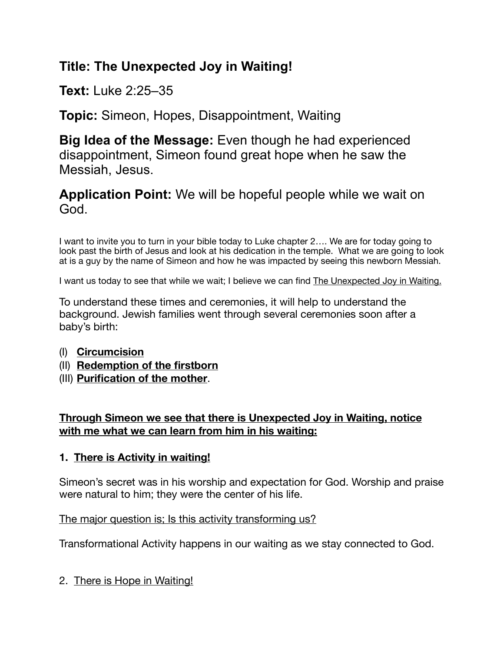# **Title: The Unexpected Joy in Waiting!**

**Text:** Luke 2:25–35

**Topic:** Simeon, Hopes, Disappointment, Waiting

**Big Idea of the Message:** Even though he had experienced disappointment, Simeon found great hope when he saw the Messiah, Jesus.

**Application Point:** We will be hopeful people while we wait on God.

I want to invite you to turn in your bible today to Luke chapter 2…. We are for today going to look past the birth of Jesus and look at his dedication in the temple. What we are going to look at is a guy by the name of Simeon and how he was impacted by seeing this newborn Messiah.

I want us today to see that while we wait; I believe we can find The Unexpected Joy in Waiting.

To understand these times and ceremonies, it will help to understand the background. Jewish families went through several ceremonies soon after a baby's birth:

- (I) **Circumcision**
- (II) **Redemption of the firstborn**
- (III) **Purification of the mother**.

### **Through Simeon we see that there is Unexpected Joy in Waiting, notice with me what we can learn from him in his waiting:**

### **1. There is Activity in waiting!**

Simeon's secret was in his worship and expectation for God. Worship and praise were natural to him; they were the center of his life.

The major question is; Is this activity transforming us?

Transformational Activity happens in our waiting as we stay connected to God.

2. There is Hope in Waiting!